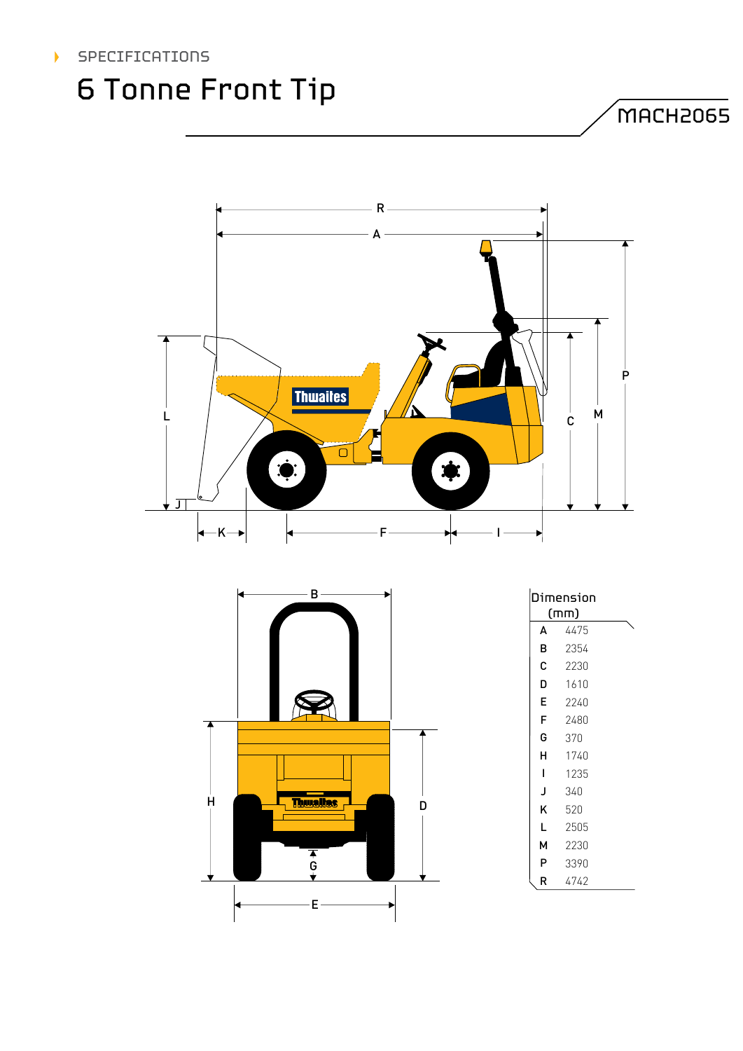

# 6 Tonne Front Tip

MACH2065